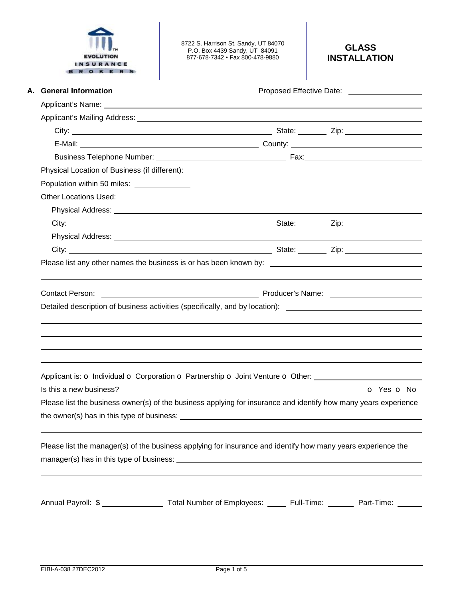

8722 S. Harrison St. Sandy, UT 84070 P.O. Box 4439 Sandy, UT 84091 877-678-7342 • Fax 800-478-9880

| A. General Information                     |                                                                                                                                                                                                                                      |            |
|--------------------------------------------|--------------------------------------------------------------------------------------------------------------------------------------------------------------------------------------------------------------------------------------|------------|
|                                            |                                                                                                                                                                                                                                      |            |
|                                            |                                                                                                                                                                                                                                      |            |
|                                            |                                                                                                                                                                                                                                      |            |
|                                            |                                                                                                                                                                                                                                      |            |
|                                            |                                                                                                                                                                                                                                      |            |
|                                            |                                                                                                                                                                                                                                      |            |
| Population within 50 miles: ______________ |                                                                                                                                                                                                                                      |            |
| <b>Other Locations Used:</b>               |                                                                                                                                                                                                                                      |            |
|                                            | Physical Address: <u>New York: New York: New York: New York: New York: New York: New York: New York: New York: New York: New York: New York: New York: New York: New York: New York: New York: New York: New York: New York: New</u> |            |
|                                            |                                                                                                                                                                                                                                      |            |
|                                            | Physical Address: <u>New York: New York: New York: New York: New York: New York: New York: New York: New York: New York: New York: New York: New York: New York: New York: New York: New York: New York: New York: New York: New</u> |            |
|                                            |                                                                                                                                                                                                                                      |            |
|                                            | Please list any other names the business is or has been known by: __________________________________                                                                                                                                 |            |
|                                            |                                                                                                                                                                                                                                      |            |
|                                            |                                                                                                                                                                                                                                      |            |
|                                            |                                                                                                                                                                                                                                      |            |
| <b>Contact Person:</b>                     | <b>Example 2018</b> Producer's Name:                                                                                                                                                                                                 |            |
|                                            | Detailed description of business activities (specifically, and by location): _________________________________                                                                                                                       |            |
|                                            |                                                                                                                                                                                                                                      |            |
|                                            |                                                                                                                                                                                                                                      |            |
|                                            |                                                                                                                                                                                                                                      |            |
|                                            |                                                                                                                                                                                                                                      |            |
|                                            | Applicant is: O Individual O Corporation O Partnership O Joint Venture O Other:                                                                                                                                                      |            |
| Is this a new business?                    |                                                                                                                                                                                                                                      | O Yes O No |
|                                            | Please list the business owner(s) of the business applying for insurance and identify how many years experience                                                                                                                      |            |
|                                            | the owner(s) has in this type of business: example and the owner of the owner of the state of the state of the state of the state of the state of the state of the state of the state of the state of the state of the state o       |            |
|                                            |                                                                                                                                                                                                                                      |            |
|                                            | Please list the manager(s) of the business applying for insurance and identify how many years experience the                                                                                                                         |            |
|                                            |                                                                                                                                                                                                                                      |            |
|                                            |                                                                                                                                                                                                                                      |            |
|                                            | Annual Payroll: \$ _________________ Total Number of Employees: ______ Full-Time: _______ Part-Time: ______                                                                                                                          |            |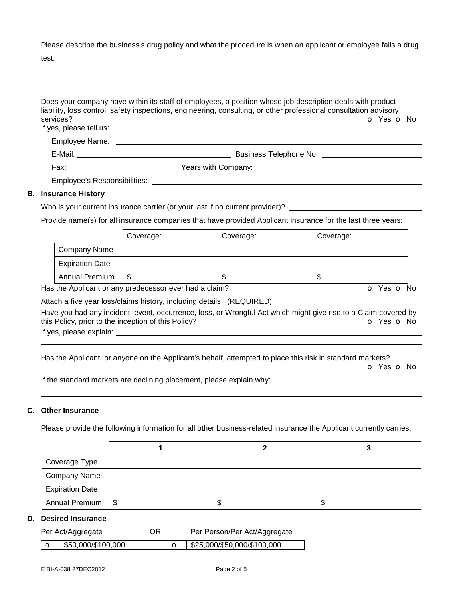Please describe the business's drug policy and what the procedure is when an applicant or employee fails a drug

test:

| services?<br>If yes, please tell us:         | Does your company have within its staff of employees, a position whose job description deals with product<br>liability, loss control, safety inspections, engineering, consulting, or other professional consultation advisory<br>O Yes O No |
|----------------------------------------------|----------------------------------------------------------------------------------------------------------------------------------------------------------------------------------------------------------------------------------------------|
| Employee Name:                               |                                                                                                                                                                                                                                              |
| E-Mail: $\_\_\_\_\_\_\_\_\_\_\_\_\_\_\_\_\_$ | Business Telephone No.:                                                                                                                                                                                                                      |
|                                              |                                                                                                                                                                                                                                              |
|                                              | Employee's Responsibilities: Next and the state of the state of the state of the state of the state of the state of the state of the state of the state of the state of the state of the state of the state of the state of th               |
| <b>B.</b> Insurance History                  |                                                                                                                                                                                                                                              |

# Who is your current insurance carrier (or your last if no current provider)? \_\_\_\_\_\_\_\_

Provide name(s) for all insurance companies that have provided Applicant insurance for the last three years:

|                        | Coverage: | Coverage: | Coverage: |
|------------------------|-----------|-----------|-----------|
| Company Name           |           |           |           |
| <b>Expiration Date</b> |           |           |           |
| <b>Annual Premium</b>  | S         | ъD        | ۰D        |

Has the Applicant or any predecessor ever had a claim? The Contract of Monocomusic Contract of No. The Contract O

Attach a five year loss/claims history, including details. (REQUIRED)

Have you had any incident, event, occurrence, loss, or Wrongful Act which might give rise to a Claim covered by this Policy, prior to the inception of this Policy? **o Yes o No** Yes **o** No

If yes, please explain: <u>explaining</u> the state of the state of the state of the state of the state of the state of the state of the state of the state of the state of the state of the state of the state of the state of the

 Has the Applicant, or anyone on the Applicant's behalf, attempted to place this risk in standard markets? o Yes o No

If the standard markets are declining placement, please explain why:

## **C. Other Insurance**

Please provide the following information for all other business-related insurance the Applicant currently carries.

| Coverage Type          |  |   |
|------------------------|--|---|
| Company Name           |  |   |
| <b>Expiration Date</b> |  |   |
| Annual Premium   \$    |  | ъ |

### **D. Desired Insurance**

| Per Act/Aggregate<br>OR |                    |  | Per Person/Per Act/Aggregate |
|-------------------------|--------------------|--|------------------------------|
|                         | \$50,000/\$100,000 |  | \$25,000/\$50,000/\$100,000  |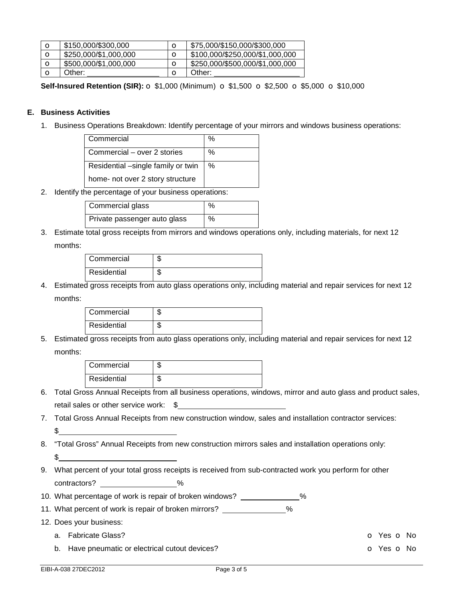| $\mathbf o$ | \$150,000/\$300,000   |   | \$75,000/\$150,000/\$300,000    |
|-------------|-----------------------|---|---------------------------------|
| $\mathbf o$ | \$250,000/\$1,000,000 |   | \$100,000/\$250,000/\$1,000,000 |
| $\mathbf o$ | \$500,000/\$1,000,000 |   | \$250,000/\$500,000/\$1,000,000 |
|             | Other:                | О | Other:                          |

**Self-Insured Retention (SIR):** o \$1,000 (Minimum) o \$1,500 o \$2,500 o \$5,000 o \$10,000

## **E. Business Activities**

1. Business Operations Breakdown: Identify percentage of your mirrors and windows business operations:

| Commercial                         | ℅ |
|------------------------------------|---|
| Commercial – over 2 stories        | % |
| Residential -single family or twin | % |
| home- not over 2 story structure   |   |

2. Identify the percentage of your business operations:

| Commercial glass             | % |
|------------------------------|---|
| Private passenger auto glass | % |

3. Estimate total gross receipts from mirrors and windows operations only, including materials, for next 12 months:

| Commercial  |  |
|-------------|--|
| Residential |  |

4. Estimated gross receipts from auto glass operations only, including material and repair services for next 12 months:

| Commercial  |  |
|-------------|--|
| Residential |  |

5. Estimated gross receipts from auto glass operations only, including material and repair services for next 12 months:

| Commercial  |  |
|-------------|--|
| Residential |  |

- 6. Total Gross Annual Receipts from all business operations, windows, mirror and auto glass and product sales, retail sales or other service work: \$
- 7. Total Gross Annual Receipts from new construction window, sales and installation contractor services:  $\mathfrak s$
- 8. "Total Gross" Annual Receipts from new construction mirrors sales and installation operations only:  $$$
- 9. What percent of your total gross receipts is received from sub-contracted work you perform for other contractors? Let us a series with the series of the series of the series of the series of the series of the series of the series of the series of the series of the series of the series of the series of the series of the se
- 10. What percentage of work is repair of broken windows? \_\_\_\_\_\_\_\_\_\_\_\_\_%
- 11. What percent of work is repair of broken mirrors? \_\_\_\_\_\_\_\_\_\_\_\_\_%
- 12. Does your business:
	- a. Fabricate Glass? o Yes o No
	- b. Have pneumatic or electrical cutout devices? The Contract of the Contract of Yes of No.

EIBI-A-038 27DEC2012 Page 3 of 5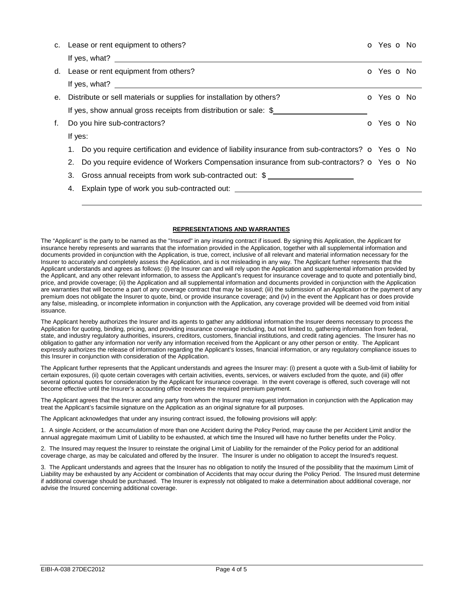|    |         | c. Lease or rent equipment to others?                                                                                                                                                                                                                                                     | o Yes o No |  |
|----|---------|-------------------------------------------------------------------------------------------------------------------------------------------------------------------------------------------------------------------------------------------------------------------------------------------|------------|--|
|    |         | If yes, what? $\frac{1}{2}$ and $\frac{1}{2}$ and $\frac{1}{2}$ and $\frac{1}{2}$ and $\frac{1}{2}$ and $\frac{1}{2}$ and $\frac{1}{2}$ and $\frac{1}{2}$ and $\frac{1}{2}$ and $\frac{1}{2}$ and $\frac{1}{2}$ and $\frac{1}{2}$ and $\frac{1}{2}$ and $\frac{1}{2}$ and $\frac{1}{2}$ a |            |  |
|    |         | d. Lease or rent equipment from others?                                                                                                                                                                                                                                                   | O Yes O No |  |
|    |         | If yes, what? $\qquad \qquad$                                                                                                                                                                                                                                                             |            |  |
| е. |         | Distribute or sell materials or supplies for installation by others?                                                                                                                                                                                                                      | o Yes o No |  |
|    |         | If yes, show annual gross receipts from distribution or sale: \$                                                                                                                                                                                                                          |            |  |
| f. |         | Do you hire sub-contractors?                                                                                                                                                                                                                                                              | o Yes o No |  |
|    | If yes: |                                                                                                                                                                                                                                                                                           |            |  |
|    | 1.      | Do you require certification and evidence of liability insurance from sub-contractors? $\bullet$ Yes $\bullet$ No                                                                                                                                                                         |            |  |
|    | 2.      | Do you require evidence of Workers Compensation insurance from sub-contractors? $\bullet$ Yes $\bullet$ No                                                                                                                                                                                |            |  |
|    | 3.      | Gross annual receipts from work sub-contracted out: \$                                                                                                                                                                                                                                    |            |  |
|    | 4.      | Explain type of work you sub-contracted out: ___________________________________                                                                                                                                                                                                          |            |  |
|    |         |                                                                                                                                                                                                                                                                                           |            |  |

#### **REPRESENTATIONS AND WARRANTIES**

The "Applicant" is the party to be named as the "Insured" in any insuring contract if issued. By signing this Application, the Applicant for insurance hereby represents and warrants that the information provided in the Application, together with all supplemental information and documents provided in conjunction with the Application, is true, correct, inclusive of all relevant and material information necessary for the Insurer to accurately and completely assess the Application, and is not misleading in any way. The Applicant further represents that the Applicant understands and agrees as follows: (i) the Insurer can and will rely upon the Application and supplemental information provided by the Applicant, and any other relevant information, to assess the Applicant's request for insurance coverage and to quote and potentially bind, price, and provide coverage; (ii) the Application and all supplemental information and documents provided in conjunction with the Application are warranties that will become a part of any coverage contract that may be issued; (iii) the submission of an Application or the payment of any premium does not obligate the Insurer to quote, bind, or provide insurance coverage; and (iv) in the event the Applicant has or does provide any false, misleading, or incomplete information in conjunction with the Application, any coverage provided will be deemed void from initial issuance.

The Applicant hereby authorizes the Insurer and its agents to gather any additional information the Insurer deems necessary to process the Application for quoting, binding, pricing, and providing insurance coverage including, but not limited to, gathering information from federal, state, and industry regulatory authorities, insurers, creditors, customers, financial institutions, and credit rating agencies. The Insurer has no obligation to gather any information nor verify any information received from the Applicant or any other person or entity. The Applicant expressly authorizes the release of information regarding the Applicant's losses, financial information, or any regulatory compliance issues to this Insurer in conjunction with consideration of the Application.

The Applicant further represents that the Applicant understands and agrees the Insurer may: (i) present a quote with a Sub-limit of liability for certain exposures, (ii) quote certain coverages with certain activities, events, services, or waivers excluded from the quote, and (iii) offer several optional quotes for consideration by the Applicant for insurance coverage. In the event coverage is offered, such coverage will not become effective until the Insurer's accounting office receives the required premium payment.

The Applicant agrees that the Insurer and any party from whom the Insurer may request information in conjunction with the Application may treat the Applicant's facsimile signature on the Application as an original signature for all purposes.

The Applicant acknowledges that under any insuring contract issued, the following provisions will apply:

1. A single Accident, or the accumulation of more than one Accident during the Policy Period, may cause the per Accident Limit and/or the annual aggregate maximum Limit of Liability to be exhausted, at which time the Insured will have no further benefits under the Policy.

2. The Insured may request the Insurer to reinstate the original Limit of Liability for the remainder of the Policy period for an additional coverage charge, as may be calculated and offered by the Insurer. The Insurer is under no obligation to accept the Insured's request.

3. The Applicant understands and agrees that the Insurer has no obligation to notify the Insured of the possibility that the maximum Limit of Liability may be exhausted by any Accident or combination of Accidents that may occur during the Policy Period. The Insured must determine if additional coverage should be purchased. The Insurer is expressly not obligated to make a determination about additional coverage, nor advise the Insured concerning additional coverage.